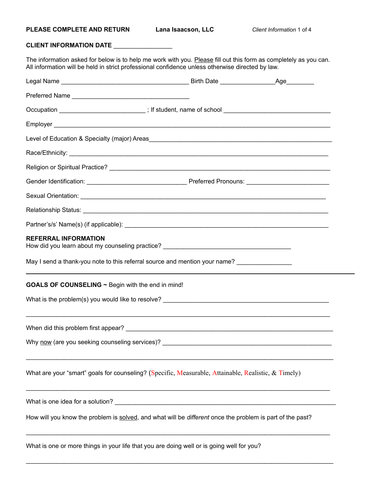## **CLIENT INFORMATION DATE** \_\_\_\_\_\_\_\_\_\_\_\_\_\_\_\_\_

The information asked for below is to help me work with you. <u>Please</u> fill out this form as completely as you can. All information will be held in strict professional confidence unless otherwise directed by law.

| Occupation ____________________________; If student, name of school _______________________________             |  |
|-----------------------------------------------------------------------------------------------------------------|--|
|                                                                                                                 |  |
|                                                                                                                 |  |
|                                                                                                                 |  |
|                                                                                                                 |  |
|                                                                                                                 |  |
|                                                                                                                 |  |
|                                                                                                                 |  |
|                                                                                                                 |  |
| <b>REFERRAL INFORMATION</b><br>How did you learn about my counseling practice? ________________________________ |  |
| May I send a thank-you note to this referral source and mention your name?                                      |  |
| GOALS OF COUNSELING ~ Begin with the end in mind!                                                               |  |
|                                                                                                                 |  |
|                                                                                                                 |  |
|                                                                                                                 |  |
| What are your "smart" goals for counseling? (Specific, Measurable, Attainable, Realistic, $\&$ Timely)          |  |
|                                                                                                                 |  |
| How will you know the problem is solved, and what will be different once the problem is part of the past?       |  |
|                                                                                                                 |  |

What is one or more things in your life that you are doing well or is going well for you?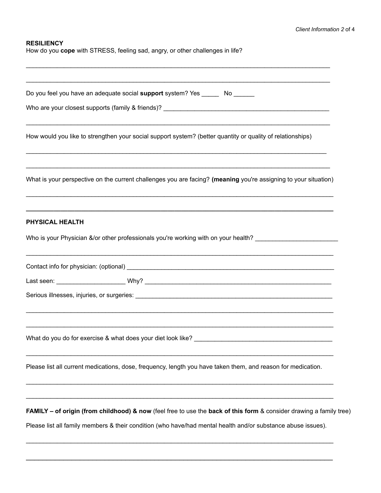## **RESILIENCY**

How do you **cope** with STRESS, feeling sad, angry, or other challenges in life?

| Do you feel you have an adequate social support system? Yes _______ No ______                                                  |  |
|--------------------------------------------------------------------------------------------------------------------------------|--|
|                                                                                                                                |  |
|                                                                                                                                |  |
| How would you like to strengthen your social support system? (better quantity or quality of relationships)                     |  |
| What is your perspective on the current challenges you are facing? (meaning you're assigning to your situation)                |  |
| <b>PHYSICAL HEALTH</b>                                                                                                         |  |
| Who is your Physician &/or other professionals you're working with on your health?                                             |  |
|                                                                                                                                |  |
|                                                                                                                                |  |
|                                                                                                                                |  |
| What do you do for exercise & what does your diet look like?                                                                   |  |
| Please list all current medications, dose, frequency, length you have taken them, and reason for medication.                   |  |
| <b>FAMILY – of origin (from childhood) &amp; now</b> (feel free to use the back of this form & consider drawing a family tree) |  |
| Please list all family members & their condition (who have/had mental health and/or substance abuse issues).                   |  |

\_\_\_\_\_\_\_\_\_\_\_\_\_\_\_\_\_\_\_\_\_\_\_\_\_\_\_\_\_\_\_\_\_\_\_\_\_\_\_\_\_\_\_\_\_\_\_\_\_\_\_\_\_\_\_\_\_\_\_\_\_\_\_\_\_\_\_\_\_\_\_\_\_\_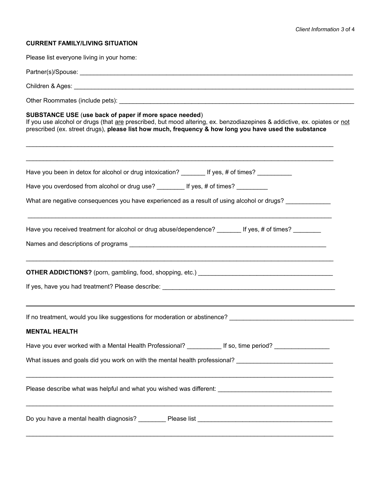## **CURRENT FAMILY/LIVING SITUATION**

Please list everyone living in your home:

| SUBSTANCE USE (use back of paper if more space needed)<br>If you use alcohol or drugs (that are prescribed, but mood altering, ex. benzodiazepines & addictive, ex. opiates or not<br>prescribed (ex. street drugs), please list how much, frequency & how long you have used the substance |  |  |  |  |  |  |  |
|---------------------------------------------------------------------------------------------------------------------------------------------------------------------------------------------------------------------------------------------------------------------------------------------|--|--|--|--|--|--|--|
| Have you been in detox for alcohol or drug intoxication? ________ If yes, # of times? __________                                                                                                                                                                                            |  |  |  |  |  |  |  |
| Have you overdosed from alcohol or drug use? _________ If yes, # of times? _________                                                                                                                                                                                                        |  |  |  |  |  |  |  |
| What are negative consequences you have experienced as a result of using alcohol or drugs?                                                                                                                                                                                                  |  |  |  |  |  |  |  |
| Have you received treatment for alcohol or drug abuse/dependence? If yes, # of times?                                                                                                                                                                                                       |  |  |  |  |  |  |  |
|                                                                                                                                                                                                                                                                                             |  |  |  |  |  |  |  |
| If no treatment, would you like suggestions for moderation or abstinence? [1964] The contract of the control of                                                                                                                                                                             |  |  |  |  |  |  |  |
| <b>MENTAL HEALTH</b>                                                                                                                                                                                                                                                                        |  |  |  |  |  |  |  |
| Have you ever worked with a Mental Health Professional? ___________ If so, time period? _                                                                                                                                                                                                   |  |  |  |  |  |  |  |
| What issues and goals did you work on with the mental health professional? ___________________________________                                                                                                                                                                              |  |  |  |  |  |  |  |
|                                                                                                                                                                                                                                                                                             |  |  |  |  |  |  |  |
|                                                                                                                                                                                                                                                                                             |  |  |  |  |  |  |  |